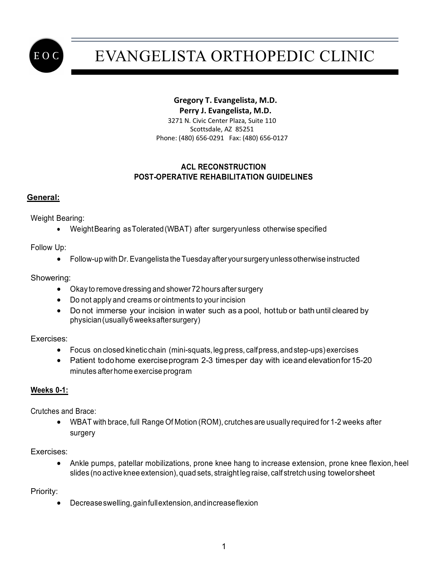

# EVANGELISTA ORTHOPEDIC CLINIC

# **Gregory T. Evangelista, M.D.**

 **Perry J. Evangelista, M.D.**

 3271 N. Civic Center Plaza, Suite 110 Scottsdale, AZ 85251 Phone: (480) 656-0291 Fax: (480) 656-0127

# **ACL RECONSTRUCTION POST-OPERATIVE REHABILITATION GUIDELINES**

# **General:**

Weight Bearing:

• WeightBearing asTolerated(WBAT) after surgeryunless otherwise specified

Follow Up:

• Follow-up with Dr. Evangelista the Tuesday after your surgery unless otherwise instructed

## Showering:

- Okay to remove dressing and shower 72 hours after surgery
- Do not apply and creams or ointments to your incision
- Do not immerse your incision in water such as a pool, hottub or bath until cleared by physician(usually6weeksaftersurgery)

Exercises:

- Focus on closed kinetic chain (mini-squats, leg press, calf press, and step-ups) exercises
- Patient todohome exerciseprogram 2-3 timesper day with iceand elevation for 15-20 minutes after home exercise program

# **Weeks 0-1:**

Crutches and Brace:

• WBAT with brace, full Range Of Motion (ROM), crutches are usually required for 1-2 weeks after surgery

Exercises:

• Ankle pumps, patellar mobilizations, prone knee hang to increase extension, prone knee flexion, heel slides (no active knee extension), quad sets, straight leg raise, calf stretch using towelorsheet

Priority:

• Decreaseswelling,gainfullextension,andincreaseflexion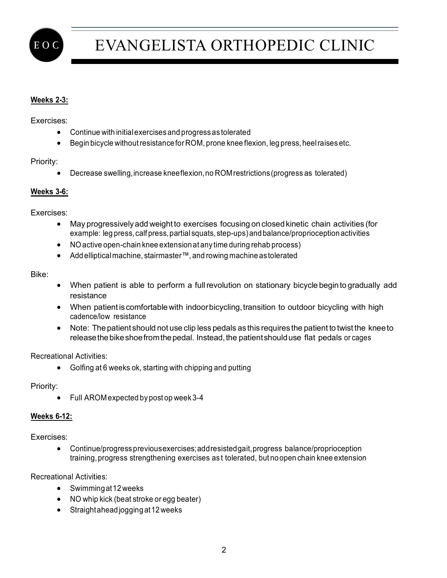

# EVANGELISTA ORTHOPEDIC CLINIC

# **Weeks 2-3:**

Exercises:

- Continue with initialexercises and progress as tolerated
- Begin bicycle without resistance for ROM, prone knee flexion, leg press, heel raises etc.

## Priority:

• Decrease swelling, increase kneeflexion, no ROM restrictions (progress as tolerated)

## **Weeks 3-6:**

Exercises:

- May progressivelyadd weightto exercises focusing on closed kinetic chain activities (for example: leg press, calf press, partial squats, step-ups) and balance/proprioception activities
- NOactive open-chain knee extensionat any time during rehab process)
- Addellipticalmachine, stairmaster™, and rowing machineastolerated

#### Bike:

- When patient is able to perform a fullrevolution on stationary bicycle begin to gradually add resistance
- When patient is comfortable with indoor bicycling, transition to outdoor bicycling with high cadence/low resistance
- Note: The patient should not use clip less pedals as this requires the patient to twist the knee to release the bike shoe from the pedal. Instead, the patient should use flat pedals or cages

## Recreational Activities:

• Golfing at 6 weeks ok, starting with chipping and putting

Priority:

• Full AROM expected by post op week 3-4

## **Weeks 6-12:**

Exercises:

• Continue/progress previousexercises;addresistedgait,progress balance/proprioception training,progress strengthening exercises as t tolerated, but noopen chain knee extension

Recreational Activities:

- Swimmingat12weeks
- NO whip kick (beat stroke or egg beater)
- Straightahead jogging at 12 weeks